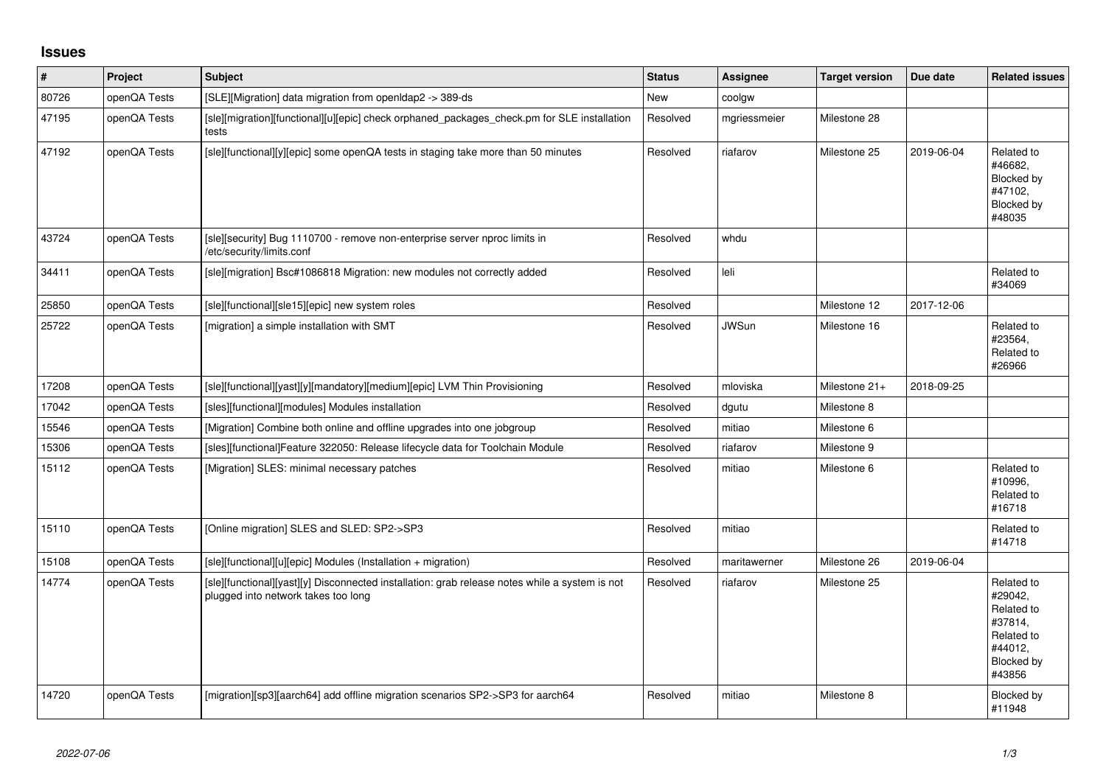## **Issues**

| $\vert$ # | Project      | <b>Subject</b>                                                                                                                        | <b>Status</b> | Assignee     | <b>Target version</b> | Due date   | <b>Related issues</b>                                                                           |
|-----------|--------------|---------------------------------------------------------------------------------------------------------------------------------------|---------------|--------------|-----------------------|------------|-------------------------------------------------------------------------------------------------|
| 80726     | openQA Tests | [SLE][Migration] data migration from openIdap2 -> 389-ds                                                                              | New           | coolgw       |                       |            |                                                                                                 |
| 47195     | openQA Tests | [sle][migration][functional][u][epic] check orphaned packages check.pm for SLE installation<br>tests                                  | Resolved      | mgriessmeier | Milestone 28          |            |                                                                                                 |
| 47192     | openQA Tests | [sle][functional][y][epic] some openQA tests in staging take more than 50 minutes                                                     | Resolved      | riafarov     | Milestone 25          | 2019-06-04 | Related to<br>#46682.<br>Blocked by<br>#47102.<br>Blocked by<br>#48035                          |
| 43724     | openQA Tests | [sle][security] Bug 1110700 - remove non-enterprise server nproc limits in<br>/etc/security/limits.conf                               | Resolved      | whdu         |                       |            |                                                                                                 |
| 34411     | openQA Tests | [sle][migration] Bsc#1086818 Migration: new modules not correctly added                                                               | Resolved      | leli         |                       |            | Related to<br>#34069                                                                            |
| 25850     | openQA Tests | [sle][functional][sle15][epic] new system roles                                                                                       | Resolved      |              | Milestone 12          | 2017-12-06 |                                                                                                 |
| 25722     | openQA Tests | [migration] a simple installation with SMT                                                                                            | Resolved      | <b>JWSun</b> | Milestone 16          |            | Related to<br>#23564.<br>Related to<br>#26966                                                   |
| 17208     | openQA Tests | [sle][functional][yast][y][mandatory][medium][epic] LVM Thin Provisioning                                                             | Resolved      | mloviska     | Milestone 21+         | 2018-09-25 |                                                                                                 |
| 17042     | openQA Tests | [sles][functional][modules] Modules installation                                                                                      | Resolved      | dgutu        | Milestone 8           |            |                                                                                                 |
| 15546     | openQA Tests | [Migration] Combine both online and offline upgrades into one jobgroup                                                                | Resolved      | mitiao       | Milestone 6           |            |                                                                                                 |
| 15306     | openQA Tests | [sles][functional]Feature 322050: Release lifecycle data for Toolchain Module                                                         | Resolved      | riafarov     | Milestone 9           |            |                                                                                                 |
| 15112     | openQA Tests | [Migration] SLES: minimal necessary patches                                                                                           | Resolved      | mitiao       | Milestone 6           |            | Related to<br>#10996,<br>Related to<br>#16718                                                   |
| 15110     | openQA Tests | [Online migration] SLES and SLED: SP2->SP3                                                                                            | Resolved      | mitiao       |                       |            | Related to<br>#14718                                                                            |
| 15108     | openQA Tests | [sle][functional][u][epic] Modules (Installation + migration)                                                                         | Resolved      | maritawerner | Milestone 26          | 2019-06-04 |                                                                                                 |
| 14774     | openQA Tests | [sle][functional][yast][y] Disconnected installation: grab release notes while a system is not<br>plugged into network takes too long | Resolved      | riafarov     | Milestone 25          |            | Related to<br>#29042,<br>Related to<br>#37814,<br>Related to<br>#44012,<br>Blocked by<br>#43856 |
| 14720     | openQA Tests | [migration][sp3][aarch64] add offline migration scenarios SP2->SP3 for aarch64                                                        | Resolved      | mitiao       | Milestone 8           |            | Blocked by<br>#11948                                                                            |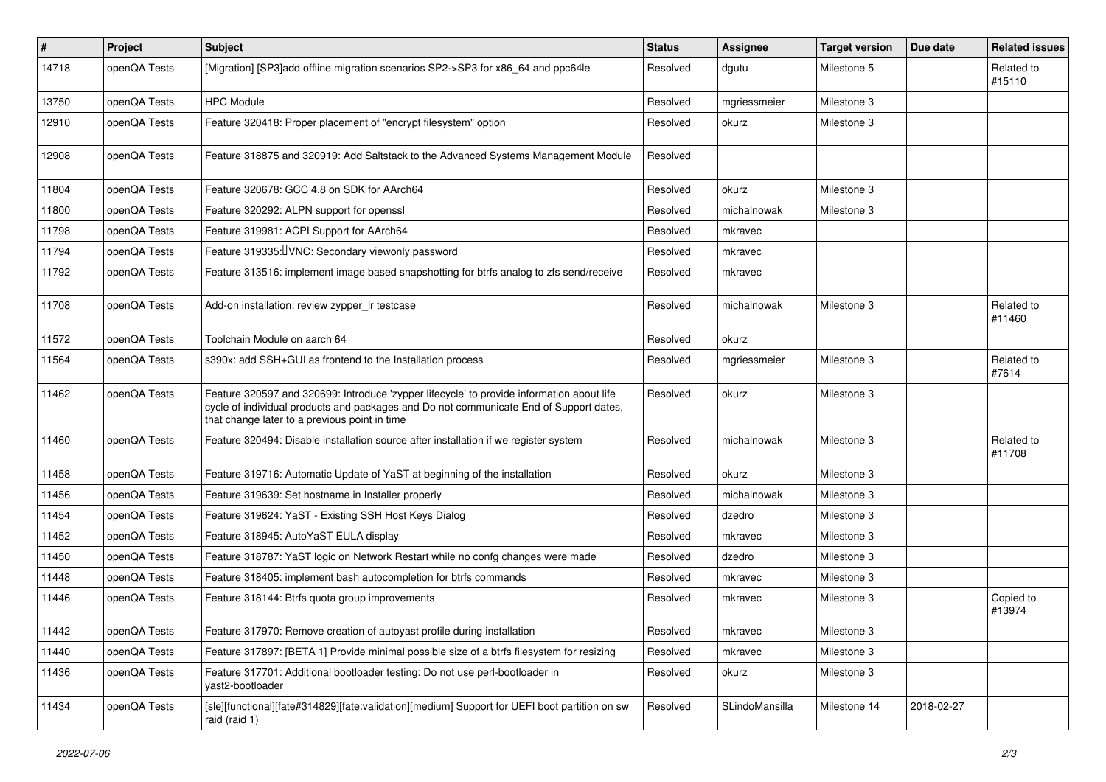| $\vert$ # | Project      | Subject                                                                                                                                                                                                                              | <b>Status</b> | <b>Assignee</b> | <b>Target version</b> | Due date   | <b>Related issues</b> |
|-----------|--------------|--------------------------------------------------------------------------------------------------------------------------------------------------------------------------------------------------------------------------------------|---------------|-----------------|-----------------------|------------|-----------------------|
| 14718     | openQA Tests | [Migration] [SP3]add offline migration scenarios SP2->SP3 for x86_64 and ppc64le                                                                                                                                                     | Resolved      | dgutu           | Milestone 5           |            | Related to<br>#15110  |
| 13750     | openQA Tests | <b>HPC Module</b>                                                                                                                                                                                                                    | Resolved      | mgriessmeier    | Milestone 3           |            |                       |
| 12910     | openQA Tests | Feature 320418: Proper placement of "encrypt filesystem" option                                                                                                                                                                      | Resolved      | okurz           | Milestone 3           |            |                       |
| 12908     | openQA Tests | Feature 318875 and 320919: Add Saltstack to the Advanced Systems Management Module                                                                                                                                                   | Resolved      |                 |                       |            |                       |
| 11804     | openQA Tests | Feature 320678: GCC 4.8 on SDK for AArch64                                                                                                                                                                                           | Resolved      | okurz           | Milestone 3           |            |                       |
| 11800     | openQA Tests | Feature 320292: ALPN support for openssl                                                                                                                                                                                             | Resolved      | michalnowak     | Milestone 3           |            |                       |
| 11798     | openQA Tests | Feature 319981: ACPI Support for AArch64                                                                                                                                                                                             | Resolved      | mkravec         |                       |            |                       |
| 11794     | openQA Tests | Feature 319335: UNC: Secondary viewonly password                                                                                                                                                                                     | Resolved      | mkravec         |                       |            |                       |
| 11792     | openQA Tests | Feature 313516: implement image based snapshotting for btrfs analog to zfs send/receive                                                                                                                                              | Resolved      | mkravec         |                       |            |                       |
| 11708     | openQA Tests | Add-on installation: review zypper_Ir testcase                                                                                                                                                                                       | Resolved      | michalnowak     | Milestone 3           |            | Related to<br>#11460  |
| 11572     | openQA Tests | Toolchain Module on aarch 64                                                                                                                                                                                                         | Resolved      | okurz           |                       |            |                       |
| 11564     | openQA Tests | s390x: add SSH+GUI as frontend to the Installation process                                                                                                                                                                           | Resolved      | mgriessmeier    | Milestone 3           |            | Related to<br>#7614   |
| 11462     | openQA Tests | Feature 320597 and 320699: Introduce 'zypper lifecycle' to provide information about life<br>cycle of individual products and packages and Do not communicate End of Support dates,<br>that change later to a previous point in time | Resolved      | okurz           | Milestone 3           |            |                       |
| 11460     | openQA Tests | Feature 320494: Disable installation source after installation if we register system                                                                                                                                                 | Resolved      | michalnowak     | Milestone 3           |            | Related to<br>#11708  |
| 11458     | openQA Tests | Feature 319716: Automatic Update of YaST at beginning of the installation                                                                                                                                                            | Resolved      | okurz           | Milestone 3           |            |                       |
| 11456     | openQA Tests | Feature 319639: Set hostname in Installer properly                                                                                                                                                                                   | Resolved      | michalnowak     | Milestone 3           |            |                       |
| 11454     | openQA Tests | Feature 319624: YaST - Existing SSH Host Keys Dialog                                                                                                                                                                                 | Resolved      | dzedro          | Milestone 3           |            |                       |
| 11452     | openQA Tests | Feature 318945: AutoYaST EULA display                                                                                                                                                                                                | Resolved      | mkravec         | Milestone 3           |            |                       |
| 11450     | openQA Tests | Feature 318787: YaST logic on Network Restart while no confg changes were made                                                                                                                                                       | Resolved      | dzedro          | Milestone 3           |            |                       |
| 11448     | openQA Tests | Feature 318405: implement bash autocompletion for btrfs commands                                                                                                                                                                     | Resolved      | mkravec         | Milestone 3           |            |                       |
| 11446     | openQA Tests | Feature 318144: Btrfs quota group improvements                                                                                                                                                                                       | Resolved      | mkravec         | Milestone 3           |            | Copied to<br>#13974   |
| 11442     | openQA Tests | Feature 317970: Remove creation of autoyast profile during installation                                                                                                                                                              | Resolved      | mkravec         | Milestone 3           |            |                       |
| 11440     | openQA Tests | Feature 317897: [BETA 1] Provide minimal possible size of a btrfs filesystem for resizing                                                                                                                                            | Resolved      | mkravec         | Milestone 3           |            |                       |
| 11436     | openQA Tests | Feature 317701: Additional bootloader testing: Do not use perl-bootloader in<br>yast2-bootloader                                                                                                                                     | Resolved      | okurz           | Milestone 3           |            |                       |
| 11434     | openQA Tests | [sle][functional][fate#314829][fate:validation][medium] Support for UEFI boot partition on sw<br>raid (raid 1)                                                                                                                       | Resolved      | SLindoMansilla  | Milestone 14          | 2018-02-27 |                       |